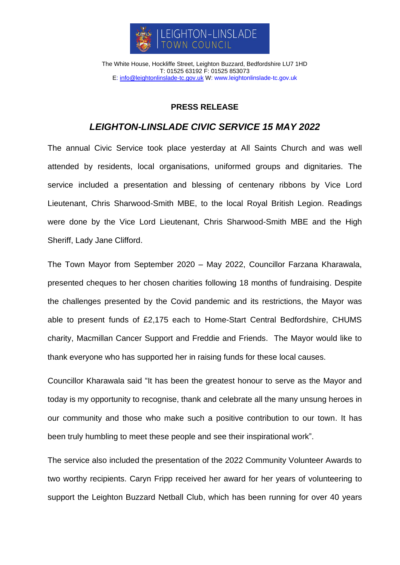

The White House, Hockliffe Street, Leighton Buzzard, Bedfordshire LU7 1HD T: 01525 63192 F: 01525 853073 E: [info@leightonlinslade-tc.gov.uk](mailto:bookings@leightonlinslade-tc.gov.uk) W: [www.leightonlinslade-tc.gov.uk](http://www.leightonlinslade-tc.gov.uk/)

## **PRESS RELEASE**

## *LEIGHTON-LINSLADE CIVIC SERVICE 15 MAY 2022*

The annual Civic Service took place yesterday at All Saints Church and was well attended by residents, local organisations, uniformed groups and dignitaries. The service included a presentation and blessing of centenary ribbons by Vice Lord Lieutenant, Chris Sharwood-Smith MBE, to the local Royal British Legion. Readings were done by the Vice Lord Lieutenant, Chris Sharwood-Smith MBE and the High Sheriff, Lady Jane Clifford.

The Town Mayor from September 2020 – May 2022, Councillor Farzana Kharawala, presented cheques to her chosen charities following 18 months of fundraising. Despite the challenges presented by the Covid pandemic and its restrictions, the Mayor was able to present funds of £2,175 each to Home-Start Central Bedfordshire, CHUMS charity, Macmillan Cancer Support and Freddie and Friends. The Mayor would like to thank everyone who has supported her in raising funds for these local causes.

Councillor Kharawala said "It has been the greatest honour to serve as the Mayor and today is my opportunity to recognise, thank and celebrate all the many unsung heroes in our community and those who make such a positive contribution to our town. It has been truly humbling to meet these people and see their inspirational work".

The service also included the presentation of the 2022 Community Volunteer Awards to two worthy recipients. Caryn Fripp received her award for her years of volunteering to support the Leighton Buzzard Netball Club, which has been running for over 40 years